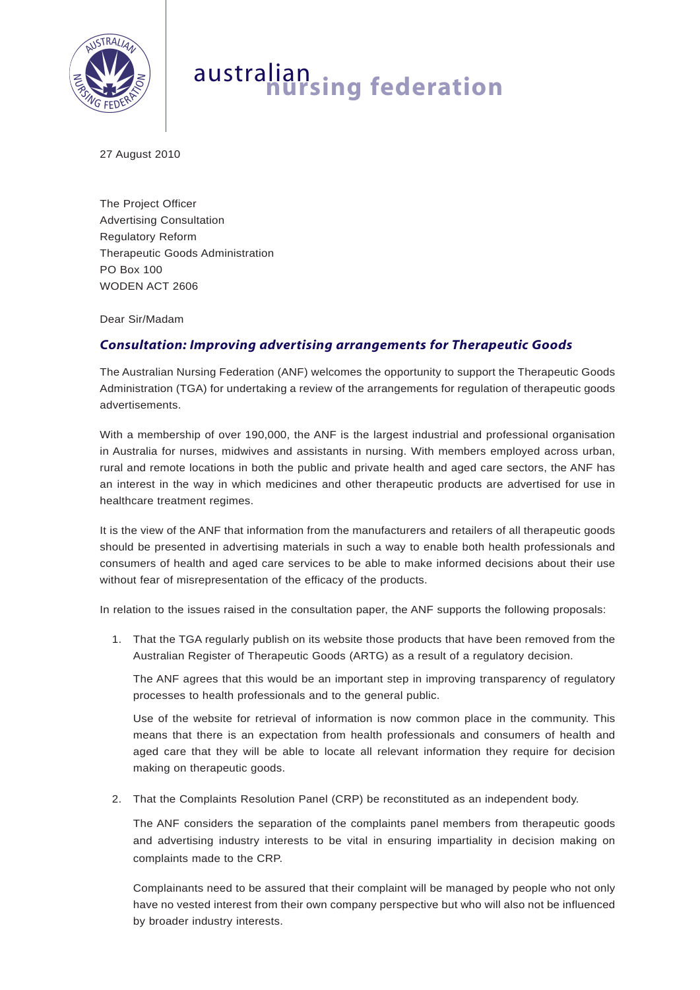

## australian **nursing federation**

27 August 2010

The Project Officer Advertising Consultation Regulatory Reform Therapeutic Goods Administration PO Box 100 WODEN ACT 2606

Dear Sir/Madam

## *Consultation: Improving advertising arrangements for Therapeutic Goods*

The Australian Nursing Federation (ANF) welcomes the opportunity to support the Therapeutic Goods Administration (TGA) for undertaking a review of the arrangements for regulation of therapeutic goods advertisements.

With a membership of over 190,000, the ANF is the largest industrial and professional organisation in Australia for nurses, midwives and assistants in nursing. With members employed across urban, rural and remote locations in both the public and private health and aged care sectors, the ANF has an interest in the way in which medicines and other therapeutic products are advertised for use in healthcare treatment regimes.

It is the view of the ANF that information from the manufacturers and retailers of all therapeutic goods should be presented in advertising materials in such a way to enable both health professionals and consumers of health and aged care services to be able to make informed decisions about their use without fear of misrepresentation of the efficacy of the products.

In relation to the issues raised in the consultation paper, the ANF supports the following proposals:

1. That the TGA regularly publish on its website those products that have been removed from the Australian Register of Therapeutic Goods (ARTG) as a result of a regulatory decision.

The ANF agrees that this would be an important step in improving transparency of regulatory processes to health professionals and to the general public.

Use of the website for retrieval of information is now common place in the community. This means that there is an expectation from health professionals and consumers of health and aged care that they will be able to locate all relevant information they require for decision making on therapeutic goods.

2. That the Complaints Resolution Panel (CRP) be reconstituted as an independent body.

The ANF considers the separation of the complaints panel members from therapeutic goods and advertising industry interests to be vital in ensuring impartiality in decision making on complaints made to the CRP.

Complainants need to be assured that their complaint will be managed by people who not only have no vested interest from their own company perspective but who will also not be influenced by broader industry interests.